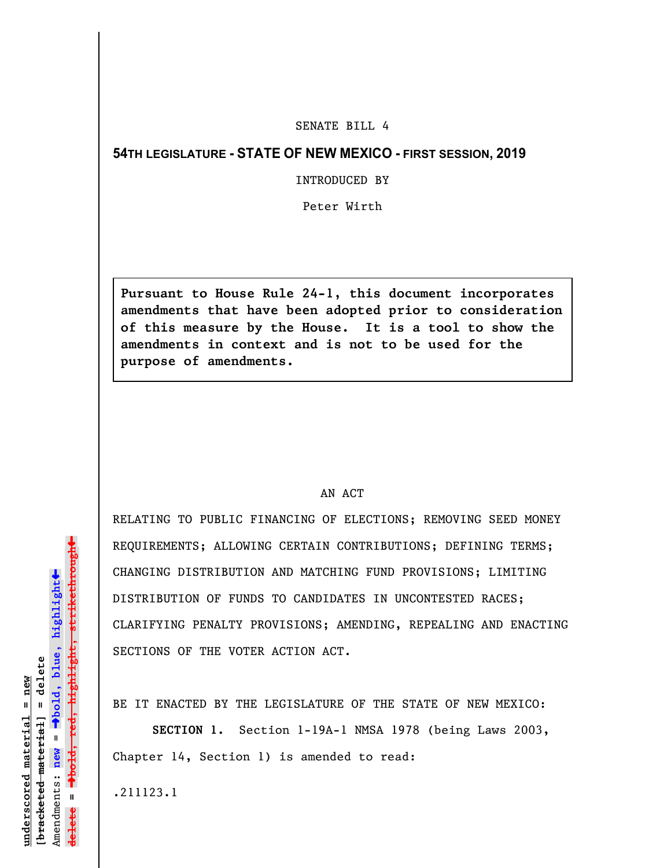## SENATE BILL 4

## **54TH LEGISLATURE - STATE OF NEW MEXICO - FIRST SESSION, 2019**

INTRODUCED BY

Peter Wirth

**Pursuant to House Rule 24-1, this document incorporates amendments that have been adopted prior to consideration of this measure by the House. It is a tool to show the amendments in context and is not to be used for the purpose of amendments.** 

## AN ACT

RELATING TO PUBLIC FINANCING OF ELECTIONS; REMOVING SEED MONEY REQUIREMENTS; ALLOWING CERTAIN CONTRIBUTIONS; DEFINING TERMS; CHANGING DISTRIBUTION AND MATCHING FUND PROVISIONS; LIMITING DISTRIBUTION OF FUNDS TO CANDIDATES IN UNCONTESTED RACES; CLARIFYING PENALTY PROVISIONS; AMENDING, REPEALING AND ENACTING SECTIONS OF THE VOTER ACTION ACT.

BE IT ENACTED BY THE LEGISLATURE OF THE STATE OF NEW MEXICO:

**SECTION 1.** Section 1-19A-1 NMSA 1978 (being Laws 2003, Chapter 14, Section 1) is amended to read:

.211123.1

 $\ddag$ º**bold, red, highlight, strikethrough**  $\ddot{\bullet}$ º**bold, blue, highlight** [bracketed material] = delete **[bracketed material] = delete** inderscored material = new **underscored material = new** Amendments: **new** =  $\mathbf{u}$ **delete =** lelete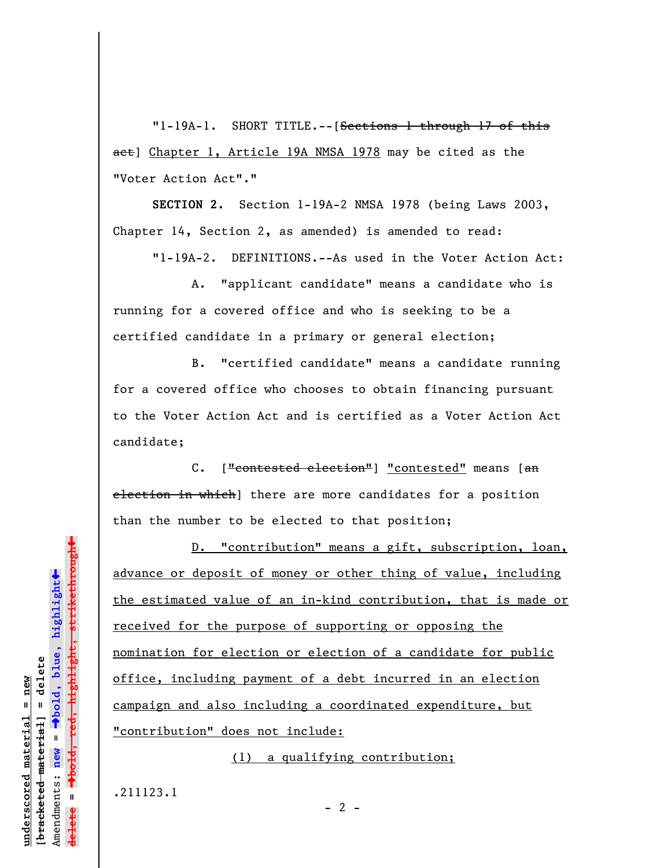"1-19A-1. SHORT TITLE.--[Sections 1 through 17 of this act] Chapter 1, Article 19A NMSA 1978 may be cited as the "Voter Action Act"."

**SECTION 2.** Section 1-19A-2 NMSA 1978 (being Laws 2003, Chapter 14, Section 2, as amended) is amended to read:

"1-19A-2. DEFINITIONS.--As used in the Voter Action Act:

A. "applicant candidate" means a candidate who is running for a covered office and who is seeking to be a certified candidate in a primary or general election;

B. "certified candidate" means a candidate running for a covered office who chooses to obtain financing pursuant to the Voter Action Act and is certified as a Voter Action Act candidate;

C. ["contested election"] "contested" means [an election in which] there are more candidates for a position than the number to be elected to that position;

D. "contribution" means a gift, subscription, loan, advance or deposit of money or other thing of value, including the estimated value of an in-kind contribution, that is made or received for the purpose of supporting or opposing the nomination for election or election of a candidate for public office, including payment of a debt incurred in an election campaign and also including a coordinated expenditure, but "contribution" does not include:

(1) a qualifying contribution;

.211123.1

**underscored material = new [bracketed material] = delete**

bracketed material] = delete inderscored material = new

Amendments: **new** =

Amendments: new

 $\mathbf{I}$ 

**delete =**

º**bold, blue, highlight**

º**bold, red, highlight, strikethrough**

highlight, strikethrough

 $\ddot{\bullet}$ 

 $- 2 -$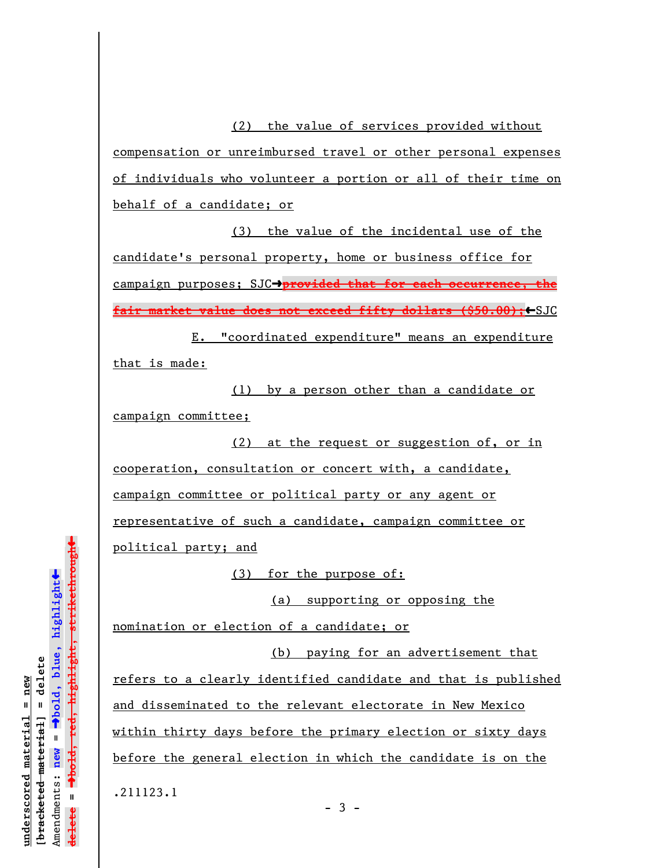(2) the value of services provided without compensation or unreimbursed travel or other personal expenses of individuals who volunteer a portion or all of their time on behalf of a candidate; or

(3) the value of the incidental use of the candidate's personal property, home or business office for campaign purposes; SJC->provided that for each occurrence, the **fair market value does not exceed fifty dollars (\$50.00);←**SJC

E. "coordinated expenditure" means an expenditure that is made:

(1) by a person other than a candidate or campaign committee;

(2) at the request or suggestion of, or in cooperation, consultation or concert with, a candidate, campaign committee or political party or any agent or representative of such a candidate, campaign committee or political party; and

(3) for the purpose of:

(a) supporting or opposing the

nomination or election of a candidate; or

(b) paying for an advertisement that

refers to a clearly identified candidate and that is published and disseminated to the relevant electorate in New Mexico within thirty days before the primary election or sixty days before the general election in which the candidate is on the

.211123.1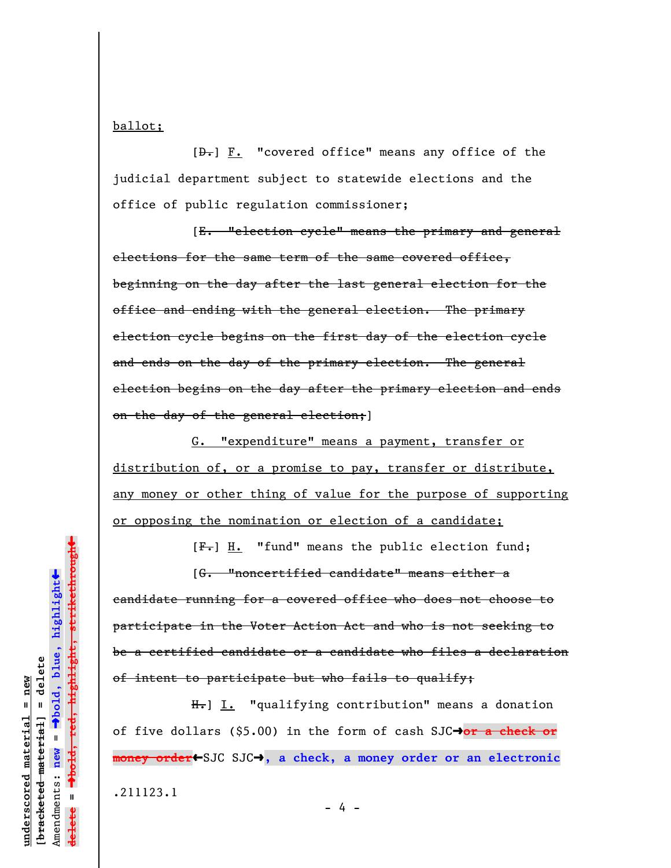ballot;

 $[\frac{D-1}{2}]$  **F.** "covered office" means any office of the judicial department subject to statewide elections and the office of public regulation commissioner;

[E. "election cycle" means the primary and general elections for the same term of the same covered office, beginning on the day after the last general election for the office and ending with the general election. The primary election cycle begins on the first day of the election cycle and ends on the day of the primary election. The general election begins on the day after the primary election and ends on the day of the general election; ]

G. "expenditure" means a payment, transfer or distribution of, or a promise to pay, transfer or distribute, any money or other thing of value for the purpose of supporting or opposing the nomination or election of a candidate;

 $[F-]$  H. "fund" means the public election fund;

[G. "noncertified candidate" means either a candidate running for a covered office who does not choose to participate in the Voter Action Act and who is not seeking to be a certified candidate or a candidate who files a declaration of intent to participate but who fails to qualify;

H. J. "qualifying contribution" means a donation of five dollars (\$5.00) in the form of cash SJC<sup>+</sup>or a check or money order←SJC SJC→, a check, a money order or an electronic

.211123.1

<del>highlight, strikethrough**t**</del> º**bold, red, highlight, strikethrough**  $\ddot{\bullet}$ º**bold, blue, highlight** bracketed material] = delete **[bracketed material] = delete**  $anderscored material = new$ **underscored material = new** Amendments: **new** =  $\bar{\mathbf{u}}$ Amendments: new **delete =** lelete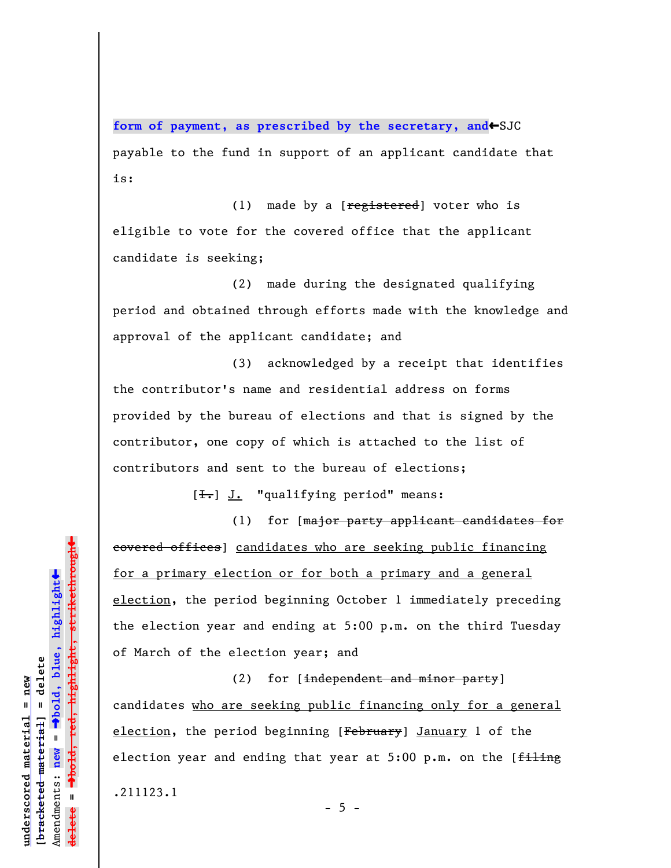form of payment, as prescribed by the secretary, and <a>
SJC payable to the fund in support of an applicant candidate that is:

(1) made by a  $[**registered**]$  voter who is eligible to vote for the covered office that the applicant candidate is seeking;

(2) made during the designated qualifying period and obtained through efforts made with the knowledge and approval of the applicant candidate; and

(3) acknowledged by a receipt that identifies the contributor's name and residential address on forms provided by the bureau of elections and that is signed by the contributor, one copy of which is attached to the list of contributors and sent to the bureau of elections;

 $[\frac{1}{\cdot},]$  J. "qualifying period" means:

(1) for [major party applicant candidates for eovered offices] candidates who are seeking public financing for a primary election or for both a primary and a general election, the period beginning October 1 immediately preceding the election year and ending at 5:00 p.m. on the third Tuesday of March of the election year; and

(2) for [independent and minor party] candidates who are seeking public financing only for a general election, the period beginning [February] January 1 of the election year and ending that year at  $5:00$  p.m. on the [ $f$ iling] .211123.1

º**bold, red, highlight, strikethrough**  $\ddot{\bullet}$ º**bold, blue, highlight**  $b$ racketed material] = delete **[bracketed material] = delete** inderscored material = new **underscored material = new** Amendments: **new** =  $\mathbf{I}$ Amendments: new **delete =**

 $\ddag$ 

 $- 5 -$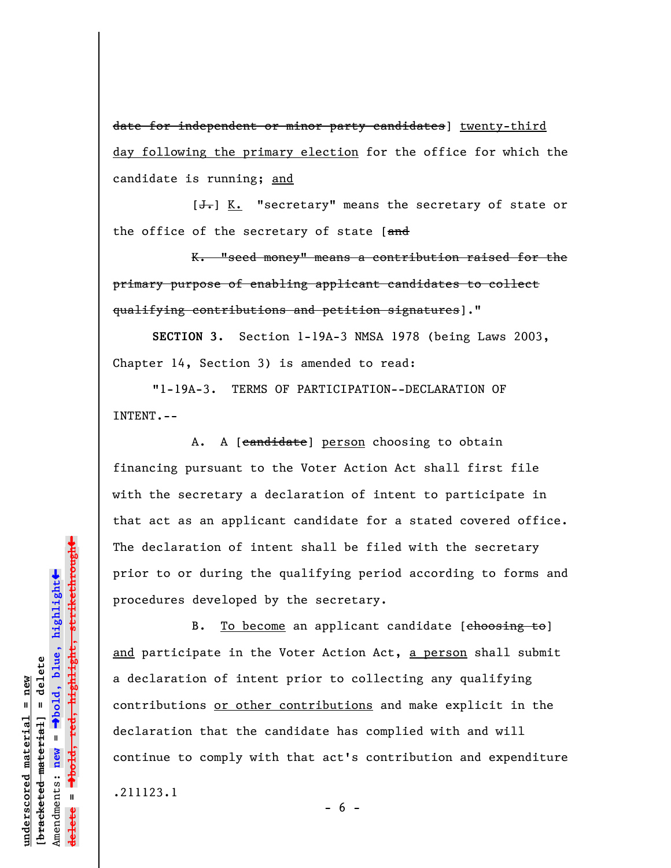date for independent or minor party candidates] twenty-third day following the primary election for the office for which the candidate is running; and

 $[\frac{1}{\sqrt{1}}]$  K. "secretary" means the secretary of state or the office of the secretary of state  $[**and**]$ 

K. "seed money" means a contribution raised for the primary purpose of enabling applicant candidates to collect qualifying contributions and petition signatures]."

**SECTION 3.** Section 1-19A-3 NMSA 1978 (being Laws 2003, Chapter 14, Section 3) is amended to read:

"1-19A-3. TERMS OF PARTICIPATION--DECLARATION OF INTENT.--

A. A [candidate] person choosing to obtain financing pursuant to the Voter Action Act shall first file with the secretary a declaration of intent to participate in that act as an applicant candidate for a stated covered office. The declaration of intent shall be filed with the secretary prior to or during the qualifying period according to forms and procedures developed by the secretary.

B. To become an applicant candidate [choosing to] and participate in the Voter Action Act, a person shall submit a declaration of intent prior to collecting any qualifying contributions or other contributions and make explicit in the declaration that the candidate has complied with and will continue to comply with that act's contribution and expenditure .211123.1

 $- 6 -$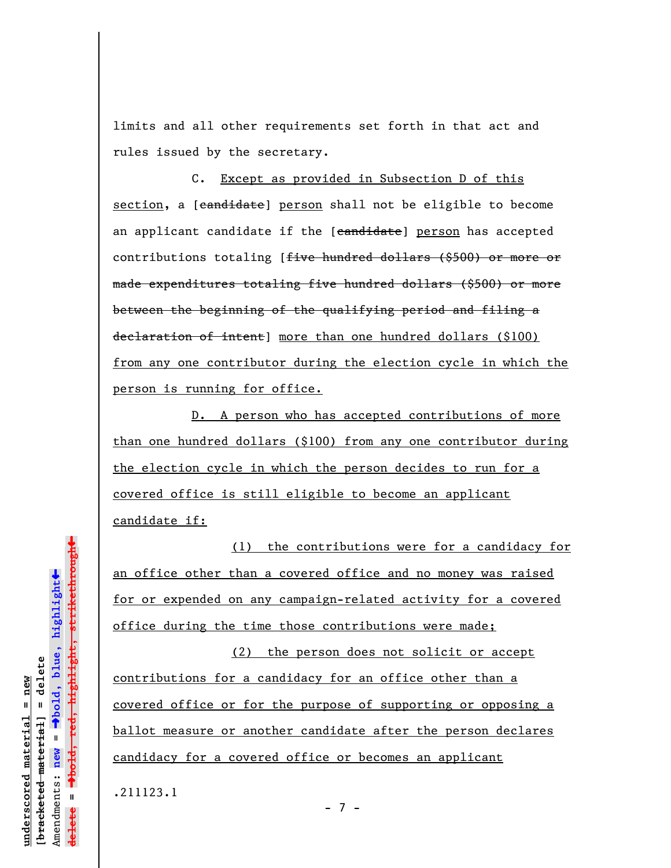limits and all other requirements set forth in that act and rules issued by the secretary.

C. Except as provided in Subsection D of this section, a [candidate] person shall not be eligible to become an applicant candidate if the [candidate] person has accepted contributions totaling [<del>five hundred dollars (\$500) or more or</del> made expenditures totaling five hundred dollars (\$500) or more between the beginning of the qualifying period and filing a declaration of intent] more than one hundred dollars (\$100) from any one contributor during the election cycle in which the person is running for office.

D. A person who has accepted contributions of more than one hundred dollars (\$100) from any one contributor during the election cycle in which the person decides to run for a covered office is still eligible to become an applicant candidate if:

(1) the contributions were for a candidacy for an office other than a covered office and no money was raised for or expended on any campaign-related activity for a covered office during the time those contributions were made;

(2) the person does not solicit or accept contributions for a candidacy for an office other than a covered office or for the purpose of supporting or opposing a ballot measure or another candidate after the person declares candidacy for a covered office or becomes an applicant

- 7 -

.211123.1

 $\ddag$ º**bold, red, highlight, strikethrough**  $\ddot{\bullet}$ º**bold, blue, highlight** bracketed material] = delete **[bracketed material] = delete** inderscored material = new **underscored material = new** Amendments: new = Amendments: **new** =  $\mathbf{u}$ **delete =** lelete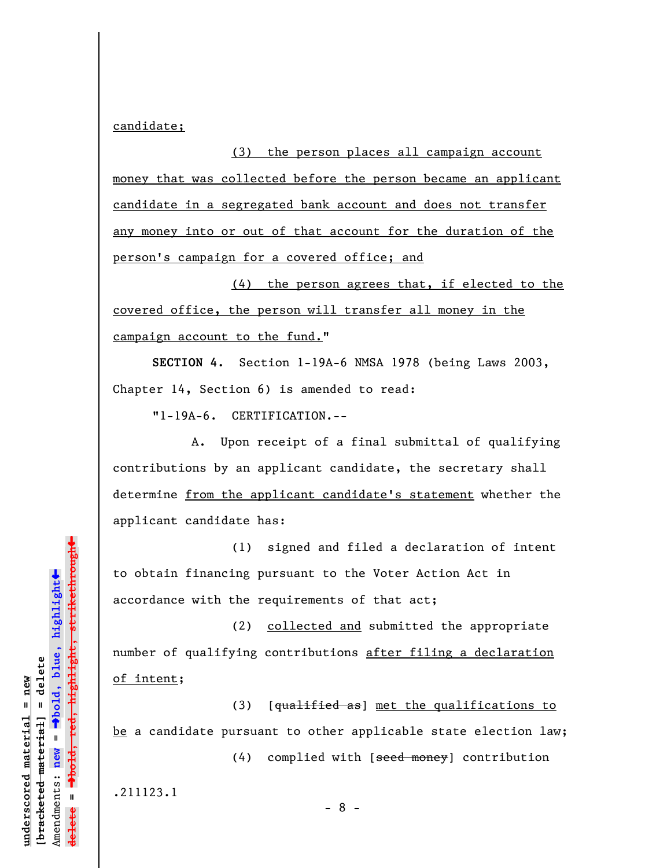candidate;

(3) the person places all campaign account money that was collected before the person became an applicant candidate in a segregated bank account and does not transfer any money into or out of that account for the duration of the person's campaign for a covered office; and

(4) the person agrees that, if elected to the covered office, the person will transfer all money in the campaign account to the fund."

**SECTION 4.** Section 1-19A-6 NMSA 1978 (being Laws 2003, Chapter 14, Section 6) is amended to read:

"1-19A-6. CERTIFICATION.--

A. Upon receipt of a final submittal of qualifying contributions by an applicant candidate, the secretary shall determine from the applicant candidate's statement whether the applicant candidate has:

(1) signed and filed a declaration of intent to obtain financing pursuant to the Voter Action Act in accordance with the requirements of that act;

(2) collected and submitted the appropriate number of qualifying contributions after filing a declaration of intent;

(3) [qualified as] met the qualifications to be a candidate pursuant to other applicable state election law;

- 8 -

(4) complied with [seed money] contribution

.211123.1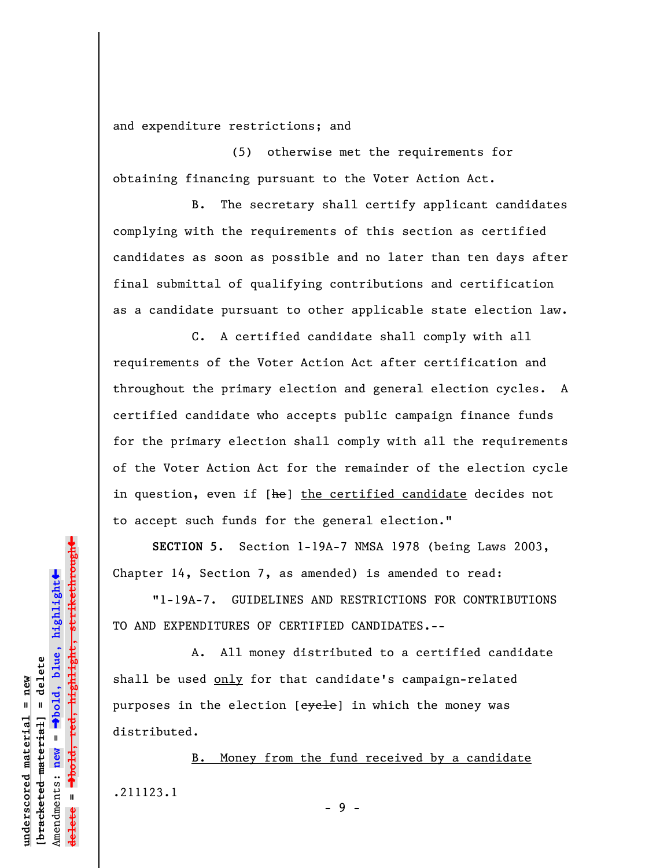and expenditure restrictions; and

(5) otherwise met the requirements for obtaining financing pursuant to the Voter Action Act.

B. The secretary shall certify applicant candidates complying with the requirements of this section as certified candidates as soon as possible and no later than ten days after final submittal of qualifying contributions and certification as a candidate pursuant to other applicable state election law.

C. A certified candidate shall comply with all requirements of the Voter Action Act after certification and throughout the primary election and general election cycles. A certified candidate who accepts public campaign finance funds for the primary election shall comply with all the requirements of the Voter Action Act for the remainder of the election cycle in question, even if [he] the certified candidate decides not to accept such funds for the general election."

**SECTION 5.** Section 1-19A-7 NMSA 1978 (being Laws 2003, Chapter 14, Section 7, as amended) is amended to read:

"1-19A-7. GUIDELINES AND RESTRICTIONS FOR CONTRIBUTIONS TO AND EXPENDITURES OF CERTIFIED CANDIDATES**.**--

A. All money distributed to a certified candidate shall be used only for that candidate's campaign-related purposes in the election [eyele] in which the money was distributed.

B. Money from the fund received by a candidate .211123.1 - 9 -

highlight, strikethrough º**bold, red, highlight, strikethrough**  $\ddot{\bullet}$ º**bold, blue, highlight** bracketed material] = delete **[bracketed material] = delete** inderscored material = new **underscored material = new** Amendments: **new** =  $\mathbf{u}$ Amendments: new **delete =**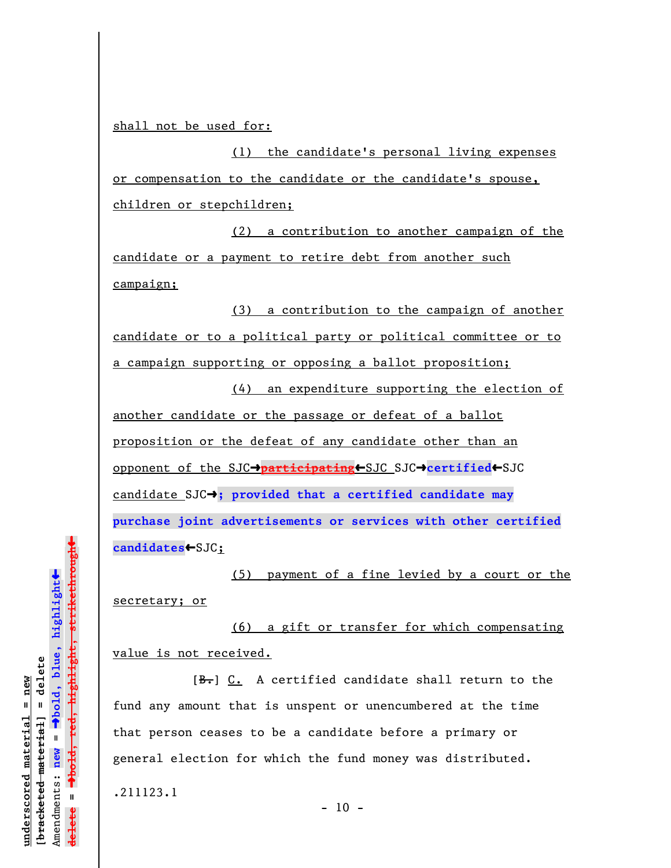shall not be used for:

(1) the candidate's personal living expenses or compensation to the candidate or the candidate's spouse, children or stepchildren;

(2) a contribution to another campaign of the candidate or a payment to retire debt from another such campaign;

(3) a contribution to the campaign of another candidate or to a political party or political committee or to a campaign supporting or opposing a ballot proposition;

(4) an expenditure supporting the election of another candidate or the passage or defeat of a ballot proposition or the defeat of any candidate other than an opponent of the SJC→participating←SJC SJC→certified←SJC candidate SJC<sup>2</sup>; provided that a certified candidate may **purchase joint advertisements or services with other certified** candidates<br/> **example 35 <a>** 

(5) payment of a fine levied by a court or the secretary; or

(6) a gift or transfer for which compensating value is not received.

 $[\frac{B-}{B}]$  C. A certified candidate shall return to the fund any amount that is unspent or unencumbered at the time that person ceases to be a candidate before a primary or general election for which the fund money was distributed. .211123.1

 $-10 -$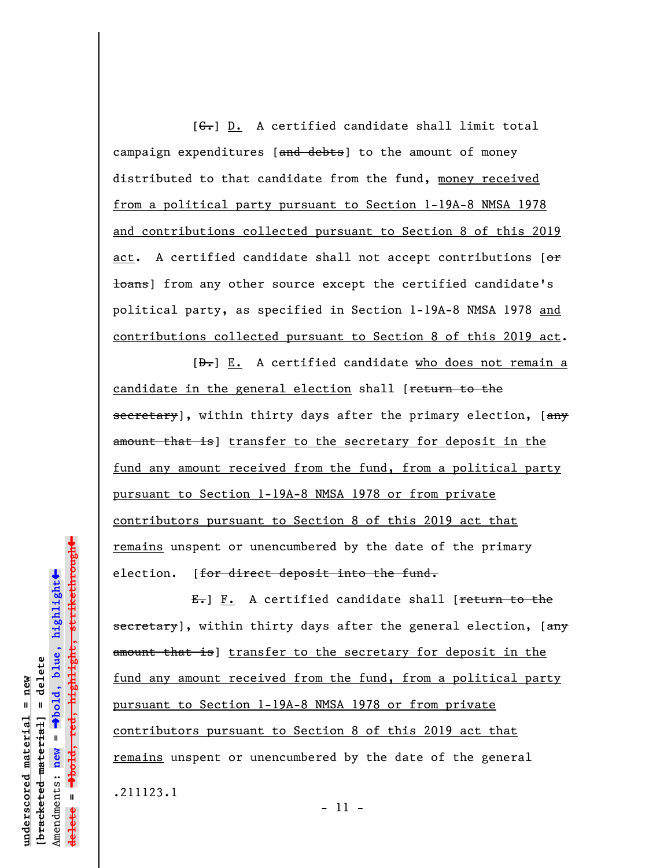$[G<sub>1</sub>]$  D. A certified candidate shall limit total campaign expenditures [and debts] to the amount of money distributed to that candidate from the fund, money received from a political party pursuant to Section 1-19A-8 NMSA 1978 and contributions collected pursuant to Section 8 of this 2019 act. A certified candidate shall not accept contributions [or **loans**] from any other source except the certified candidate's political party, as specified in Section 1-19A-8 NMSA 1978 and contributions collected pursuant to Section 8 of this 2019 act.

 $[\frac{D-1}{2}]$  E. A certified candidate who does not remain a candidate in the general election shall [return to the secretary], within thirty days after the primary election, [any amount that is) transfer to the secretary for deposit in the fund any amount received from the fund, from a political party pursuant to Section 1-19A-8 NMSA 1978 or from private contributors pursuant to Section 8 of this 2019 act that remains unspent or unencumbered by the date of the primary election. [for direct deposit into the fund.

 $E_{\tau}$ ] F. A certified candidate shall [return to the secretary], within thirty days after the general election, [any amount that is) transfer to the secretary for deposit in the fund any amount received from the fund, from a political party pursuant to Section 1-19A-8 NMSA 1978 or from private contributors pursuant to Section 8 of this 2019 act that remains unspent or unencumbered by the date of the general .211123.1

 $\ddag$ º**bold, red, highlight, strikethrough**  $\ddot{\bullet}$ º**bold, blue, highlight** bracketed material] = delete **[bracketed material] = delete** inderscored material = new **underscored material = new** Amendments: **new** =  $\mathbf{I}$ Amendments: new **delete =** lelete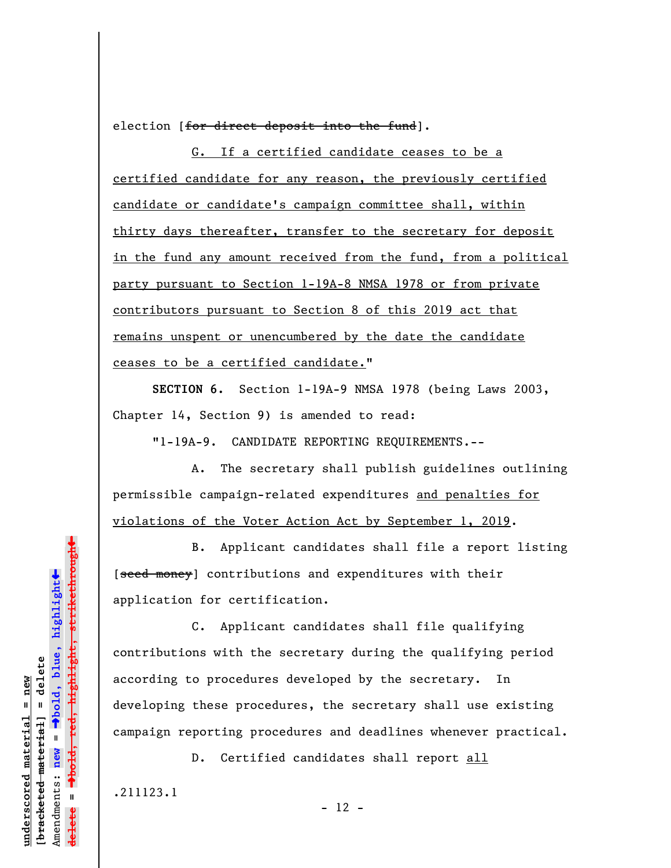election [for direct deposit into the fund].

G. If a certified candidate ceases to be a certified candidate for any reason, the previously certified candidate or candidate's campaign committee shall, within thirty days thereafter, transfer to the secretary for deposit in the fund any amount received from the fund, from a political party pursuant to Section 1-19A-8 NMSA 1978 or from private contributors pursuant to Section 8 of this 2019 act that remains unspent or unencumbered by the date the candidate ceases to be a certified candidate."

**SECTION 6.** Section 1-19A-9 NMSA 1978 (being Laws 2003, Chapter 14, Section 9) is amended to read:

"1-19A-9. CANDIDATE REPORTING REQUIREMENTS.--

A. The secretary shall publish guidelines outlining permissible campaign-related expenditures and penalties for violations of the Voter Action Act by September 1, 2019.

B. Applicant candidates shall file a report listing [seed money] contributions and expenditures with their application for certification.

C. Applicant candidates shall file qualifying contributions with the secretary during the qualifying period according to procedures developed by the secretary. In developing these procedures, the secretary shall use existing campaign reporting procedures and deadlines whenever practical.

D. Certified candidates shall report all

.211123.1

**underscored material = new [bracketed material] = delete**

bracketed material] = delete inderscored material = new

Amendments: **new** =

Amendments: new

 $\mathbf{u}$ 

**delete =**

º**bold, blue, highlight**

º**bold, red, highlight, strikethrough**

 $\ddot{\bullet}$ 

 $\ddag$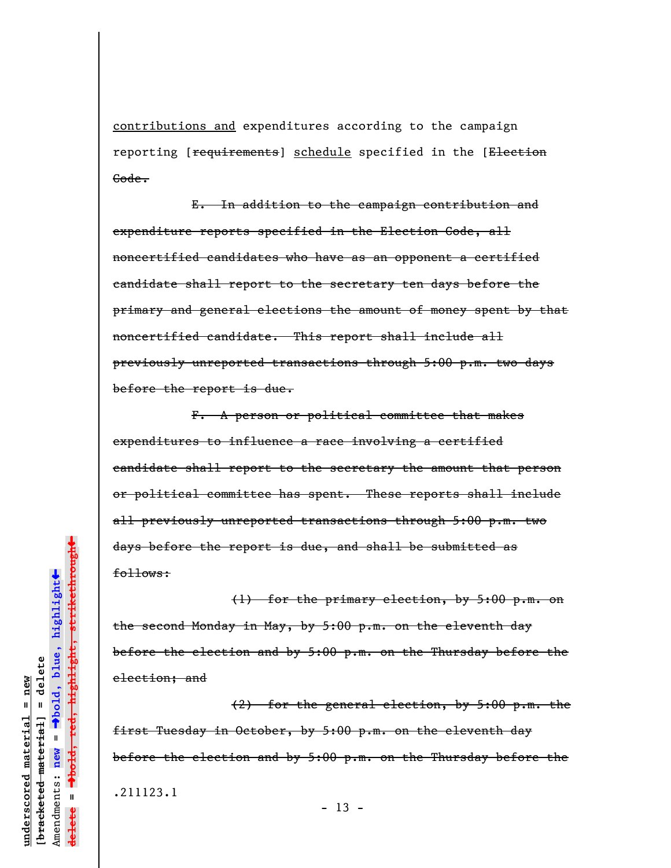contributions and expenditures according to the campaign reporting [requirements] schedule specified in the [Election Gode.

E. In addition to the campaign contribution and expenditure reports specified in the Election Code, all noncertified candidates who have as an opponent a certified candidate shall report to the secretary ten days before the primary and general elections the amount of money spent by that noncertified candidate. This report shall include all previously unreported transactions through 5:00 p.m. two days before the report is due.

 F. A person or political committee that makes expenditures to influence a race involving a certified candidate shall report to the secretary the amount that person or political committee has spent. These reports shall include all previously unreported transactions through 5:00 p.m. two days before the report is due, and shall be submitted as follows:

(1) for the primary election, by 5:00 p.m. on the second Monday in May, by 5:00 p.m. on the eleventh day before the election and by 5:00 p.m. on the Thursday before the election; and

(2) for the general election, by 5:00 p.m. the first Tuesday in October, by 5:00 p.m. on the eleventh day before the election and by 5:00 p.m. on the Thursday before the .211123.1

red<del>, highlight, strikethrough</del> º**bold, red, highlight, strikethrough**  $\ddot{\bullet}$ º**bold, blue, highlight** bracketed material] = delete **[bracketed material] = delete**  $ndegree$  material = new **underscored material = new** Amendments: **new** =  $\mathbf{u}$ Amendments: new **delete =**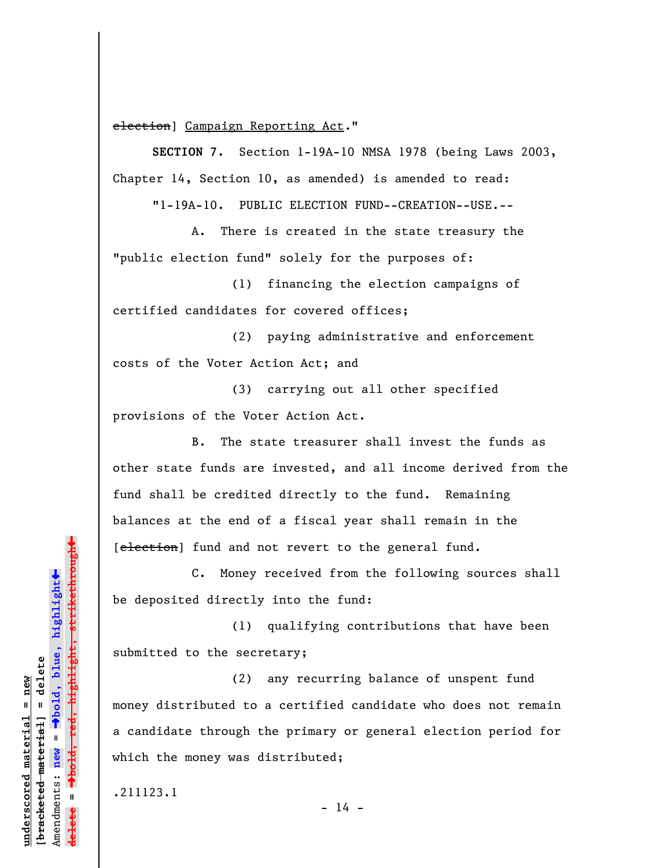election] Campaign Reporting Act."

**SECTION 7.** Section 1-19A-10 NMSA 1978 (being Laws 2003, Chapter 14, Section 10, as amended) is amended to read:

"1-19A-10. PUBLIC ELECTION FUND--CREATION--USE.--

A. There is created in the state treasury the "public election fund" solely for the purposes of:

(1) financing the election campaigns of certified candidates for covered offices;

(2) paying administrative and enforcement costs of the Voter Action Act; and

(3) carrying out all other specified provisions of the Voter Action Act.

B. The state treasurer shall invest the funds as other state funds are invested, and all income derived from the fund shall be credited directly to the fund. Remaining balances at the end of a fiscal year shall remain in the [election] fund and not revert to the general fund.

C. Money received from the following sources shall be deposited directly into the fund:

(1) qualifying contributions that have been submitted to the secretary;

(2) any recurring balance of unspent fund money distributed to a certified candidate who does not remain a candidate through the primary or general election period for which the money was distributed;

 $- 14 -$ 

.211123.1

º**bold, red, highlight, strikethrough**  $\ddot{\bullet}$ º**bold, blue, highlight** bracketed material] = delete **[bracketed material] = delete** inderscored material = new **underscored material = new** Amendments: **new** =  $\mathbf{u}$ Amendments: new **delete =**

»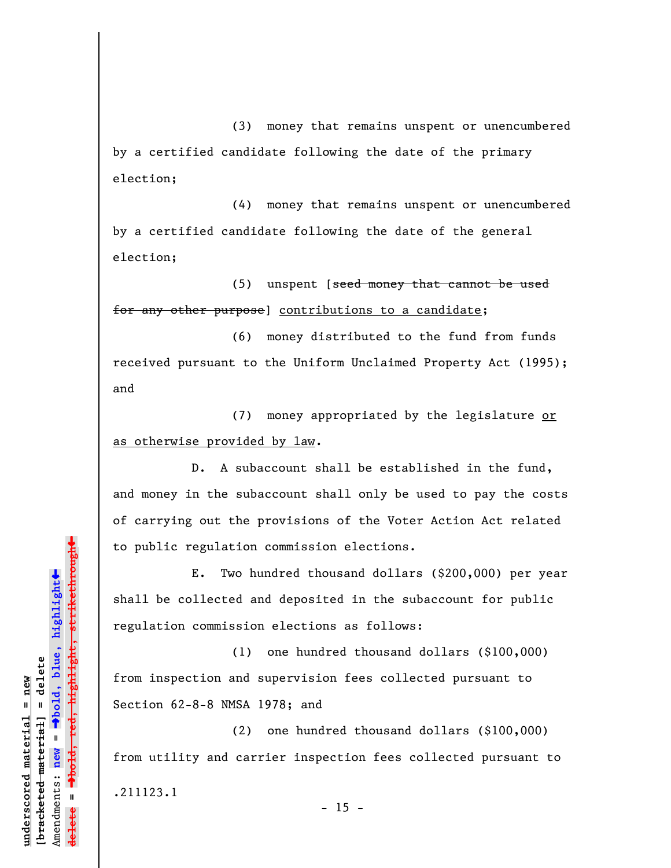(3) money that remains unspent or unencumbered by a certified candidate following the date of the primary election;

(4) money that remains unspent or unencumbered by a certified candidate following the date of the general election;

(5) unspent [seed money that cannot be used for any other purpose] contributions to a candidate;

(6) money distributed to the fund from funds received pursuant to the Uniform Unclaimed Property Act (1995); and

(7) money appropriated by the legislature or as otherwise provided by law.

D. A subaccount shall be established in the fund, and money in the subaccount shall only be used to pay the costs of carrying out the provisions of the Voter Action Act related to public regulation commission elections.

E. Two hundred thousand dollars (\$200,000) per year shall be collected and deposited in the subaccount for public regulation commission elections as follows:

(1) one hundred thousand dollars (\$100,000) from inspection and supervision fees collected pursuant to Section 62-8-8 NMSA 1978; and

(2) one hundred thousand dollars (\$100,000) from utility and carrier inspection fees collected pursuant to .211123.1  $- 15 -$ 

**underscored material = new [bracketed material] = delete**

bracketed material] = delete mderscored material = new

Amendments: **new** =

Amendments: new

 $\mathbf{u}$ 

**delete =**

º**bold, blue, highlight**

º**bold, red, highlight, strikethrough**

 $\ddot{\bullet}$ 

 $\ddag$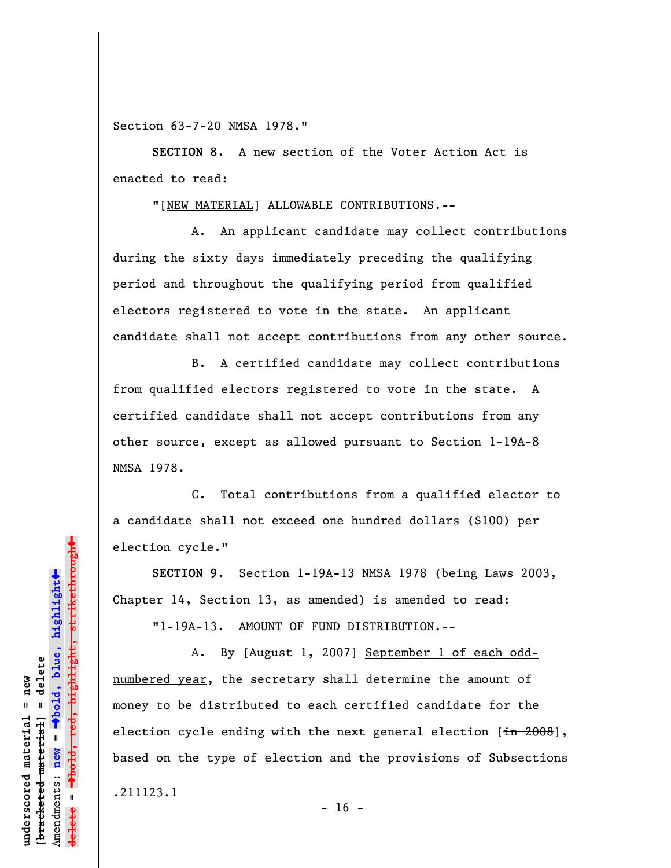Section 63-7-20 NMSA 1978."

**SECTION 8.** A new section of the Voter Action Act is enacted to read:

"[NEW MATERIAL] ALLOWABLE CONTRIBUTIONS.--

A. An applicant candidate may collect contributions during the sixty days immediately preceding the qualifying period and throughout the qualifying period from qualified electors registered to vote in the state. An applicant candidate shall not accept contributions from any other source.

B. A certified candidate may collect contributions from qualified electors registered to vote in the state. A certified candidate shall not accept contributions from any other source, except as allowed pursuant to Section 1-19A-8 NMSA 1978.

C. Total contributions from a qualified elector to a candidate shall not exceed one hundred dollars (\$100) per election cycle."

**SECTION 9.** Section 1-19A-13 NMSA 1978 (being Laws 2003, Chapter 14, Section 13, as amended) is amended to read:

"1-19A-13. AMOUNT OF FUND DISTRIBUTION.--

A. By [August 1, 2007] September 1 of each oddnumbered year, the secretary shall determine the amount of money to be distributed to each certified candidate for the election cycle ending with the next general election  $[\frac{1}{10} \frac{2008}{1}]$ , based on the type of election and the provisions of Subsections .211123.1

 $- 16 -$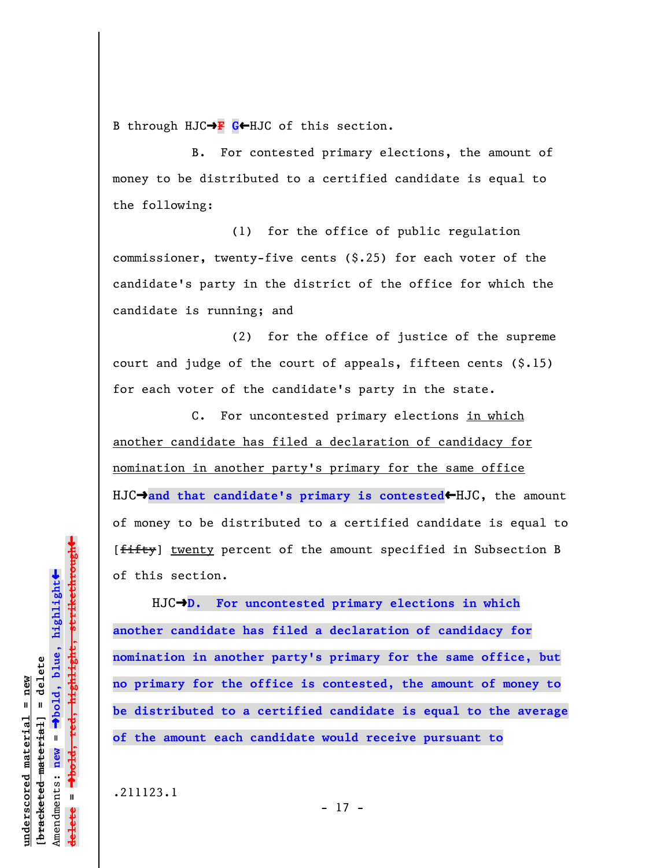B through HJC→F G←HJC of this section.

B. For contested primary elections, the amount of money to be distributed to a certified candidate is equal to the following:

(1) for the office of public regulation commissioner, twenty-five cents (\$.25) for each voter of the candidate's party in the district of the office for which the candidate is running; and

(2) for the office of justice of the supreme court and judge of the court of appeals, fifteen cents (\$.15) for each voter of the candidate's party in the state.

C. For uncontested primary elections in which another candidate has filed a declaration of candidacy for nomination in another party's primary for the same office HJC $\rightarrow$ and that candidate's primary is contested HJC, the amount of money to be distributed to a certified candidate is equal to [fifty] twenty percent of the amount specified in Subsection B of this section.

HJC $\rightarrow$ D. For uncontested primary elections in which **another candidate has filed a declaration of candidacy for nomination in another party's primary for the same office, but no primary for the office is contested, the amount of money to be distributed to a certified candidate is equal to the average of the amount each candidate would receive pursuant to**

 $\ddag$ 

.211123.1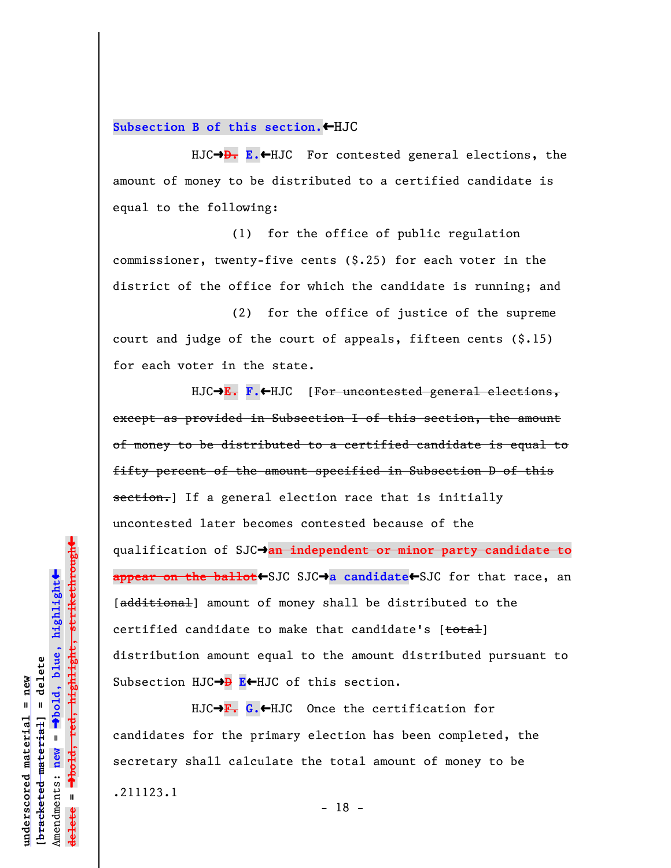Subsection B of this section. HJC

HJC $\rightarrow$ **D.** E.<sup>+</sup>HJC For contested general elections, the amount of money to be distributed to a certified candidate is equal to the following:

(1) for the office of public regulation commissioner, twenty-five cents (\$.25) for each voter in the district of the office for which the candidate is running; and

(2) for the office of justice of the supreme court and judge of the court of appeals, fifteen cents (\$.15) for each voter in the state.

HJC $\rightarrow$ **E. F.** $\leftarrow$ HJC [For uncontested general elections, except as provided in Subsection I of this section, the amount of money to be distributed to a certified candidate is equal to fifty percent of the amount specified in Subsection D of this section.] If a general election race that is initially uncontested later becomes contested because of the qualification of SJCº**an independent or minor party candidate to** appear on the ballot+SJC SJC+a candidate<sup>+</sup>SJC for that race, an [additional] amount of money shall be distributed to the certified candidate to make that candidate's [total] distribution amount equal to the amount distributed pursuant to Subsection HJC→**D E**←HJC of this section.

HJC→F. G.←HJC Once the certification for candidates for the primary election has been completed, the secretary shall calculate the total amount of money to be .211123.1 - 18 -

 $\ddag$ º**bold, red, highlight, strikethrough**  $\ddot{\bullet}$ º**bold, blue, highlight** bracketed material] = delete **[bracketed material] = delete** inderscored material = new **underscored material = new** Amendments: **new** =  $\bar{\mathbf{u}}$ Amendments: new **delete =**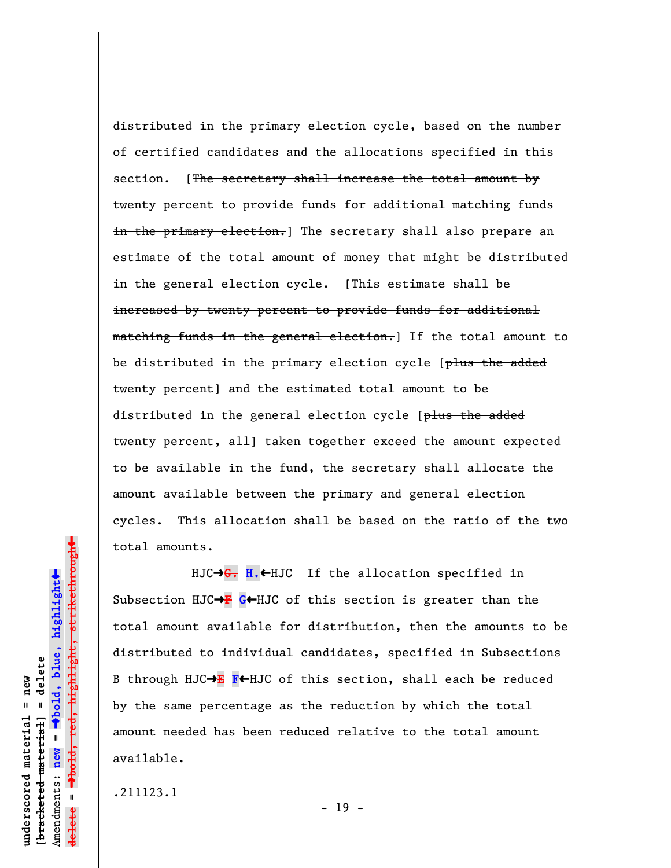distributed in the primary election cycle, based on the number of certified candidates and the allocations specified in this section. [The secretary shall increase the total amount by twenty percent to provide funds for additional matching funds in the primary election.] The secretary shall also prepare an estimate of the total amount of money that might be distributed in the general election cycle. [This estimate shall be increased by twenty percent to provide funds for additional matching funds in the general election.] If the total amount to be distributed in the primary election cycle [plus the added twenty percent] and the estimated total amount to be distributed in the general election cycle [plus the added twenty percent, all taken together exceed the amount expected to be available in the fund, the secretary shall allocate the amount available between the primary and general election cycles. This allocation shall be based on the ratio of the two total amounts.

HJC→G. H.←HJC If the allocation specified in Subsection HJC $\rightarrow$ **F** G $\leftarrow$ HJC of this section is greater than the total amount available for distribution, then the amounts to be distributed to individual candidates, specified in Subsections B through HJC $\rightarrow$ **E** F←HJC of this section, shall each be reduced by the same percentage as the reduction by which the total amount needed has been reduced relative to the total amount available.

.211123.1

**underscored material = new [bracketed material] = delete**

bracketed material] = delete mderscored material = new

Amendments: **new** =

Amendments: new

 $\mathbf{I}$ 

**delete =**

º**bold, blue, highlight**

º**bold, red, highlight, strikethrough**

 $\ddot{\bullet}$ 

 $\ddag$ 

- 19 -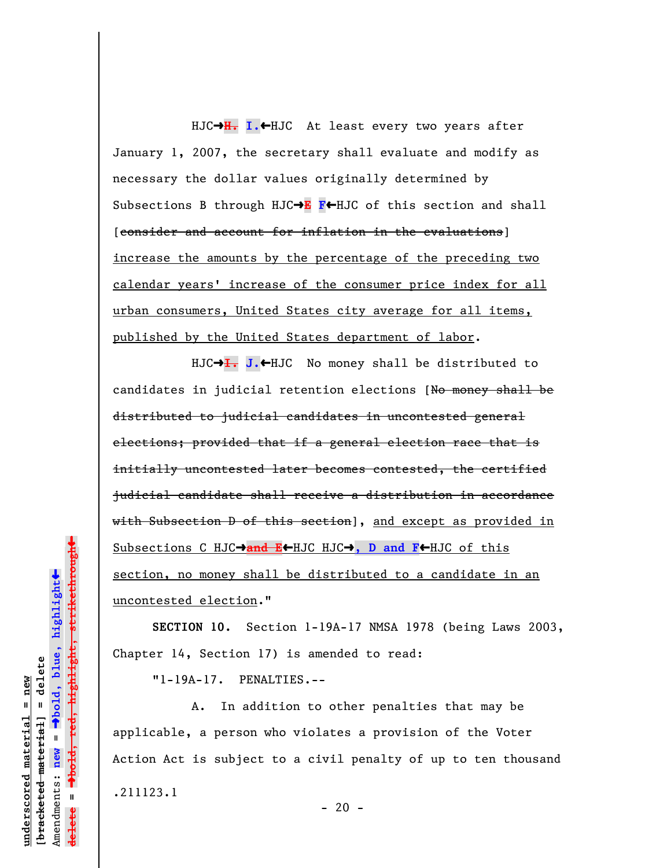HJC→H. I.←HJC At least every two years after January 1, 2007, the secretary shall evaluate and modify as necessary the dollar values originally determined by Subsections B through HJC $\rightarrow$ **E F** $\leftarrow$ HJC of this section and shall [consider and account for inflation in the evaluations] increase the amounts by the percentage of the preceding two calendar years' increase of the consumer price index for all urban consumers, United States city average for all items, published by the United States department of labor.

HJC→<del>I.</del> J.←HJC No money shall be distributed to candidates in judicial retention elections [No money shall be distributed to judicial candidates in uncontested general elections; provided that if a general election race that is initially uncontested later becomes contested, the certified judicial candidate shall receive a distribution in accordance with Subsection D of this section], and except as provided in Subsections C HJC $\rightarrow$ and E+HJC HJC $\rightarrow$ , D and F+HJC of this section, no money shall be distributed to a candidate in an uncontested election."

**SECTION 10.** Section 1-19A-17 NMSA 1978 (being Laws 2003, Chapter 14, Section 17) is amended to read:

"1-19A-17. PENALTIES.--

A. In addition to other penalties that may be applicable, a person who violates a provision of the Voter Action Act is subject to a civil penalty of up to ten thousand .211123.1

**underscored material = new [bracketed material] = delete**

bracketed material] = delete inderscored material = new

Amendments: **new** =

Amendments: new

 $\mathbf{u}$ 

**delete =**

º**bold, blue, highlight**

º**bold, red, highlight, strikethrough** Dold, red, highlight, strikethrough

 $\ddot{\bullet}$